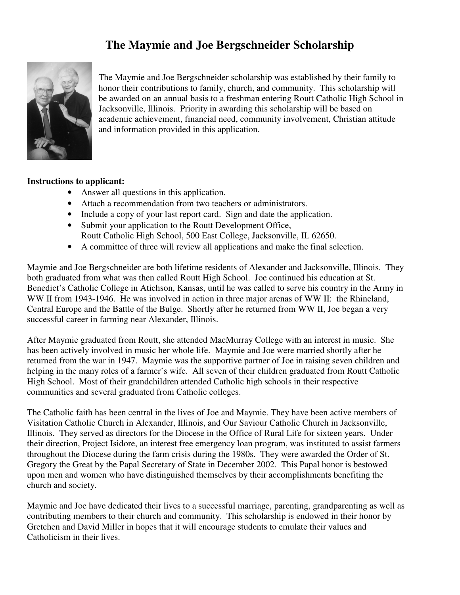## **The Maymie and Joe Bergschneider Scholarship**



The Maymie and Joe Bergschneider scholarship was established by their family to honor their contributions to family, church, and community. This scholarship will be awarded on an annual basis to a freshman entering Routt Catholic High School in Jacksonville, Illinois. Priority in awarding this scholarship will be based on academic achievement, financial need, community involvement, Christian attitude and information provided in this application.

## **Instructions to applicant:**

- Answer all questions in this application.
- Attach a recommendation from two teachers or administrators.
- Include a copy of your last report card. Sign and date the application.
- Submit your application to the Routt Development Office, Routt Catholic High School, 500 East College, Jacksonville, IL 62650.
- A committee of three will review all applications and make the final selection.

Maymie and Joe Bergschneider are both lifetime residents of Alexander and Jacksonville, Illinois. They both graduated from what was then called Routt High School. Joe continued his education at St. Benedict's Catholic College in Atichson, Kansas, until he was called to serve his country in the Army in WW II from 1943-1946. He was involved in action in three major arenas of WW II: the Rhineland, Central Europe and the Battle of the Bulge. Shortly after he returned from WW II, Joe began a very successful career in farming near Alexander, Illinois.

After Maymie graduated from Routt, she attended MacMurray College with an interest in music. She has been actively involved in music her whole life. Maymie and Joe were married shortly after he returned from the war in 1947. Maymie was the supportive partner of Joe in raising seven children and helping in the many roles of a farmer's wife. All seven of their children graduated from Routt Catholic High School. Most of their grandchildren attended Catholic high schools in their respective communities and several graduated from Catholic colleges.

The Catholic faith has been central in the lives of Joe and Maymie. They have been active members of Visitation Catholic Church in Alexander, Illinois, and Our Saviour Catholic Church in Jacksonville, Illinois. They served as directors for the Diocese in the Office of Rural Life for sixteen years. Under their direction, Project Isidore, an interest free emergency loan program, was instituted to assist farmers throughout the Diocese during the farm crisis during the 1980s. They were awarded the Order of St. Gregory the Great by the Papal Secretary of State in December 2002. This Papal honor is bestowed upon men and women who have distinguished themselves by their accomplishments benefiting the church and society.

Maymie and Joe have dedicated their lives to a successful marriage, parenting, grandparenting as well as contributing members to their church and community. This scholarship is endowed in their honor by Gretchen and David Miller in hopes that it will encourage students to emulate their values and Catholicism in their lives.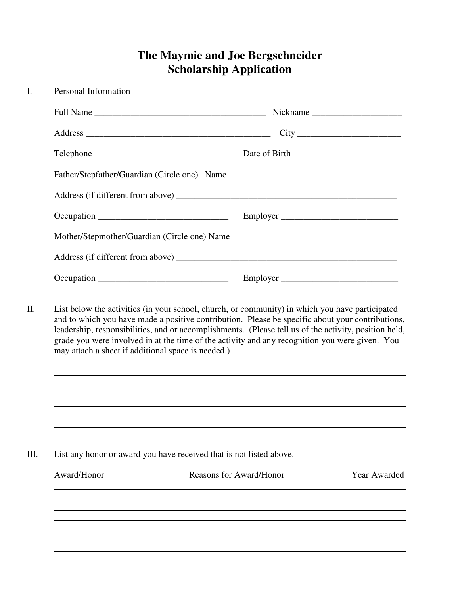## **The Maymie and Joe Bergschneider Scholarship Application**

| $\mathbf{I}$ . | Personal Information                                                                                                                                                                                                                                                                                                                                                                                                                                                 |                                         |  |  |  |
|----------------|----------------------------------------------------------------------------------------------------------------------------------------------------------------------------------------------------------------------------------------------------------------------------------------------------------------------------------------------------------------------------------------------------------------------------------------------------------------------|-----------------------------------------|--|--|--|
|                |                                                                                                                                                                                                                                                                                                                                                                                                                                                                      | Nickname                                |  |  |  |
|                |                                                                                                                                                                                                                                                                                                                                                                                                                                                                      |                                         |  |  |  |
|                | Telephone                                                                                                                                                                                                                                                                                                                                                                                                                                                            |                                         |  |  |  |
|                |                                                                                                                                                                                                                                                                                                                                                                                                                                                                      |                                         |  |  |  |
|                |                                                                                                                                                                                                                                                                                                                                                                                                                                                                      |                                         |  |  |  |
|                |                                                                                                                                                                                                                                                                                                                                                                                                                                                                      | Employer                                |  |  |  |
|                |                                                                                                                                                                                                                                                                                                                                                                                                                                                                      |                                         |  |  |  |
|                |                                                                                                                                                                                                                                                                                                                                                                                                                                                                      |                                         |  |  |  |
|                |                                                                                                                                                                                                                                                                                                                                                                                                                                                                      | Employer                                |  |  |  |
|                | List below the activities (in your school, church, or community) in which you have participated<br>and to which you have made a positive contribution. Please be specific about your contributions,<br>leadership, responsibilities, and or accomplishments. (Please tell us of the activity, position held,<br>grade you were involved in at the time of the activity and any recognition you were given. You<br>may attach a sheet if additional space is needed.) |                                         |  |  |  |
|                |                                                                                                                                                                                                                                                                                                                                                                                                                                                                      |                                         |  |  |  |
| III.           | List any honor or award you have received that is not listed above.                                                                                                                                                                                                                                                                                                                                                                                                  |                                         |  |  |  |
|                | Award/Honor                                                                                                                                                                                                                                                                                                                                                                                                                                                          | Reasons for Award/Honor<br>Year Awarded |  |  |  |
|                |                                                                                                                                                                                                                                                                                                                                                                                                                                                                      |                                         |  |  |  |
|                |                                                                                                                                                                                                                                                                                                                                                                                                                                                                      |                                         |  |  |  |
|                |                                                                                                                                                                                                                                                                                                                                                                                                                                                                      |                                         |  |  |  |